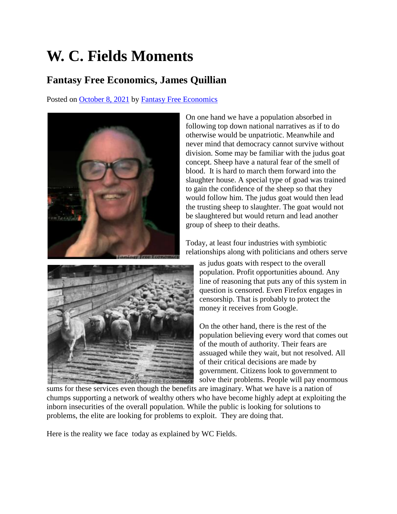## **W. C. Fields Moments**

## **Fantasy Free Economics, James Quillian**

Posted on [October 8, 2021](http://quillian.net/blog/?p=7684) by [Fantasy Free Economics](http://quillian.net/blog/author/james-quillian/)



On one hand we have a population absorbed in following top down national narratives as if to do otherwise would be unpatriotic. Meanwhile and never mind that democracy cannot survive without division. Some may be familiar with the judus goat concept. Sheep have a natural fear of the smell of blood. It is hard to march them forward into the slaughter house. A special type of goad was trained to gain the confidence of the sheep so that they would follow him. The judus goat would then lead the trusting sheep to slaughter. The goat would not be slaughtered but would return and lead another group of sheep to their deaths.



Today, at least four industries with symbiotic relationships along with politicians and others serve

as judus goats with respect to the overall population. Profit opportunities abound. Any line of reasoning that puts any of this system in question is censored. Even Firefox engages in censorship. That is probably to protect the money it receives from Google.

On the other hand, there is the rest of the population believing every word that comes out of the mouth of authority. Their fears are assuaged while they wait, but not resolved. All of their critical decisions are made by government. Citizens look to government to solve their problems. People will pay enormous

sums for these services even though the benefits are imaginary. What we have is a nation of chumps supporting a network of wealthy others who have become highly adept at exploiting the inborn insecurities of the overall population. While the public is looking for solutions to problems, the elite are looking for problems to exploit. They are doing that.

Here is the reality we face today as explained by WC Fields.